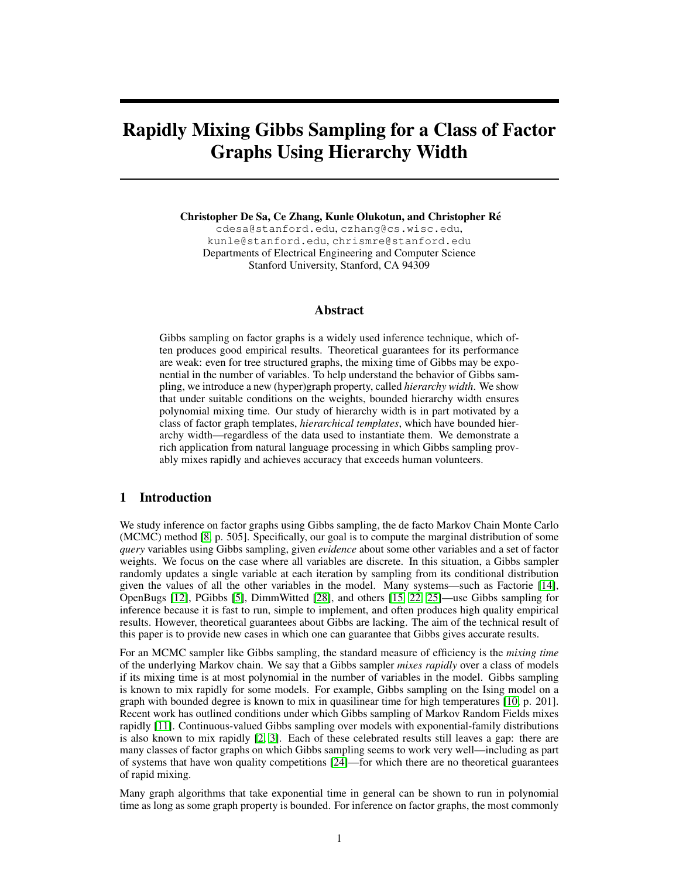# Rapidly Mixing Gibbs Sampling for a Class of Factor Graphs Using Hierarchy Width

Christopher De Sa, Ce Zhang, Kunle Olukotun, and Christopher Re´

cdesa@stanford.edu, czhang@cs.wisc.edu, kunle@stanford.edu, chrismre@stanford.edu Departments of Electrical Engineering and Computer Science Stanford University, Stanford, CA 94309

## Abstract

Gibbs sampling on factor graphs is a widely used inference technique, which often produces good empirical results. Theoretical guarantees for its performance are weak: even for tree structured graphs, the mixing time of Gibbs may be exponential in the number of variables. To help understand the behavior of Gibbs sampling, we introduce a new (hyper)graph property, called *hierarchy width*. We show that under suitable conditions on the weights, bounded hierarchy width ensures polynomial mixing time. Our study of hierarchy width is in part motivated by a class of factor graph templates, *hierarchical templates*, which have bounded hierarchy width—regardless of the data used to instantiate them. We demonstrate a rich application from natural language processing in which Gibbs sampling provably mixes rapidly and achieves accuracy that exceeds human volunteers.

## 1 Introduction

We study inference on factor graphs using Gibbs sampling, the de facto Markov Chain Monte Carlo (MCMC) method [8, p. 505]. Specifically, our goal is to compute the marginal distribution of some *query* variables using Gibbs sampling, given *evidence* about some other variables and a set of factor weights. We focus on the case where all variables are discrete. In this situation, a Gibbs sampler randomly updates a single variable at each iteration by sampling from its conditional distribution given the values of all the other variables in the model. Many systems—such as Factorie [14], OpenBugs [12], PGibbs [5], DimmWitted [28], and others [15, 22, 25]—use Gibbs sampling for inference because it is fast to run, simple to implement, and often produces high quality empirical results. However, theoretical guarantees about Gibbs are lacking. The aim of the technical result of this paper is to provide new cases in which one can guarantee that Gibbs gives accurate results.

For an MCMC sampler like Gibbs sampling, the standard measure of efficiency is the *mixing time* of the underlying Markov chain. We say that a Gibbs sampler *mixes rapidly* over a class of models if its mixing time is at most polynomial in the number of variables in the model. Gibbs sampling is known to mix rapidly for some models. For example, Gibbs sampling on the Ising model on a graph with bounded degree is known to mix in quasilinear time for high temperatures [10, p. 201]. Recent work has outlined conditions under which Gibbs sampling of Markov Random Fields mixes rapidly [11]. Continuous-valued Gibbs sampling over models with exponential-family distributions is also known to mix rapidly [2, 3]. Each of these celebrated results still leaves a gap: there are many classes of factor graphs on which Gibbs sampling seems to work very well—including as part of systems that have won quality competitions [24]—for which there are no theoretical guarantees of rapid mixing.

Many graph algorithms that take exponential time in general can be shown to run in polynomial time as long as some graph property is bounded. For inference on factor graphs, the most commonly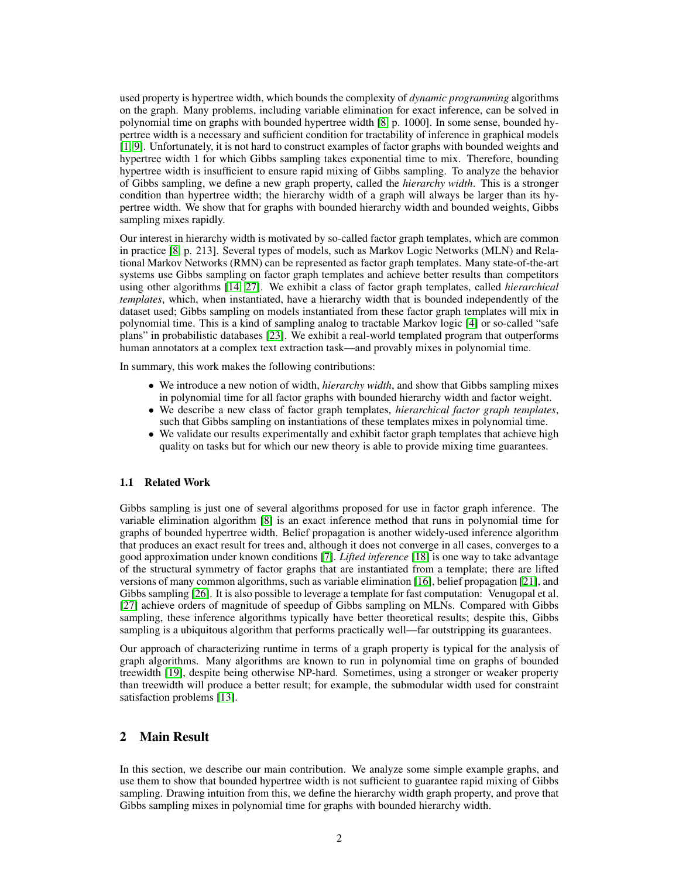used property is hypertree width, which bounds the complexity of *dynamic programming* algorithms on the graph. Many problems, including variable elimination for exact inference, can be solved in polynomial time on graphs with bounded hypertree width [8, p. 1000]. In some sense, bounded hypertree width is a necessary and sufficient condition for tractability of inference in graphical models [1, 9]. Unfortunately, it is not hard to construct examples of factor graphs with bounded weights and hypertree width 1 for which Gibbs sampling takes exponential time to mix. Therefore, bounding hypertree width is insufficient to ensure rapid mixing of Gibbs sampling. To analyze the behavior of Gibbs sampling, we define a new graph property, called the *hierarchy width*. This is a stronger condition than hypertree width; the hierarchy width of a graph will always be larger than its hypertree width. We show that for graphs with bounded hierarchy width and bounded weights, Gibbs sampling mixes rapidly.

Our interest in hierarchy width is motivated by so-called factor graph templates, which are common in practice [8, p. 213]. Several types of models, such as Markov Logic Networks (MLN) and Relational Markov Networks (RMN) can be represented as factor graph templates. Many state-of-the-art systems use Gibbs sampling on factor graph templates and achieve better results than competitors using other algorithms [14, 27]. We exhibit a class of factor graph templates, called *hierarchical templates*, which, when instantiated, have a hierarchy width that is bounded independently of the dataset used; Gibbs sampling on models instantiated from these factor graph templates will mix in polynomial time. This is a kind of sampling analog to tractable Markov logic [4] or so-called "safe plans" in probabilistic databases [23]. We exhibit a real-world templated program that outperforms human annotators at a complex text extraction task—and provably mixes in polynomial time.

In summary, this work makes the following contributions:

- We introduce a new notion of width, *hierarchy width*, and show that Gibbs sampling mixes in polynomial time for all factor graphs with bounded hierarchy width and factor weight.
- We describe a new class of factor graph templates, *hierarchical factor graph templates*, such that Gibbs sampling on instantiations of these templates mixes in polynomial time.
- We validate our results experimentally and exhibit factor graph templates that achieve high quality on tasks but for which our new theory is able to provide mixing time guarantees.

#### 1.1 Related Work

Gibbs sampling is just one of several algorithms proposed for use in factor graph inference. The variable elimination algorithm [8] is an exact inference method that runs in polynomial time for graphs of bounded hypertree width. Belief propagation is another widely-used inference algorithm that produces an exact result for trees and, although it does not converge in all cases, converges to a good approximation under known conditions [7]. *Lifted inference* [18] is one way to take advantage of the structural symmetry of factor graphs that are instantiated from a template; there are lifted versions of many common algorithms, such as variable elimination [16], belief propagation [21], and Gibbs sampling [26]. It is also possible to leverage a template for fast computation: Venugopal et al. [27] achieve orders of magnitude of speedup of Gibbs sampling on MLNs. Compared with Gibbs sampling, these inference algorithms typically have better theoretical results; despite this, Gibbs sampling is a ubiquitous algorithm that performs practically well—far outstripping its guarantees.

Our approach of characterizing runtime in terms of a graph property is typical for the analysis of graph algorithms. Many algorithms are known to run in polynomial time on graphs of bounded treewidth [19], despite being otherwise NP-hard. Sometimes, using a stronger or weaker property than treewidth will produce a better result; for example, the submodular width used for constraint satisfaction problems [13].

## 2 Main Result

In this section, we describe our main contribution. We analyze some simple example graphs, and use them to show that bounded hypertree width is not sufficient to guarantee rapid mixing of Gibbs sampling. Drawing intuition from this, we define the hierarchy width graph property, and prove that Gibbs sampling mixes in polynomial time for graphs with bounded hierarchy width.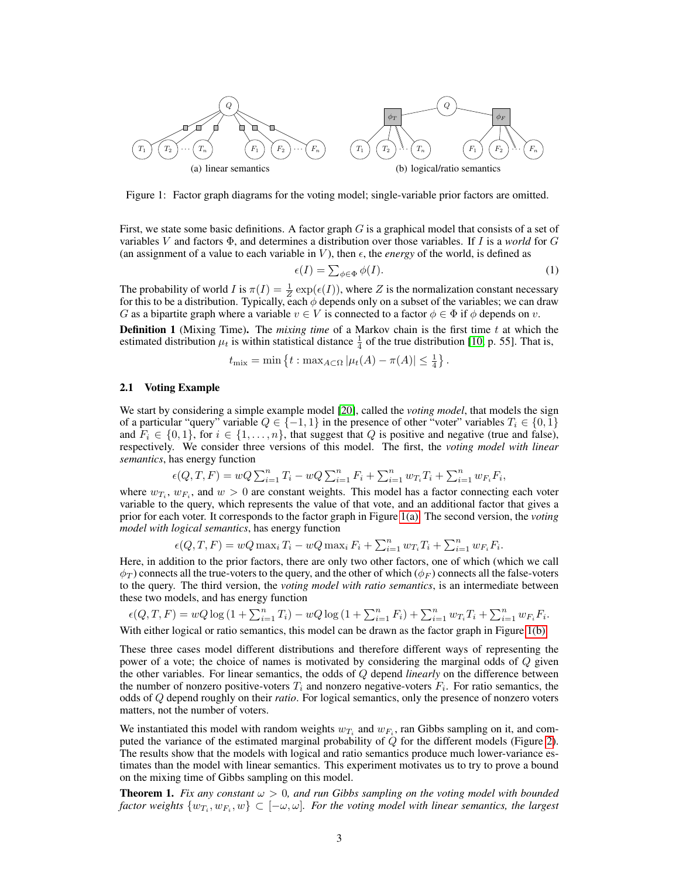

Figure 1: Factor graph diagrams for the voting model; single-variable prior factors are omitted.

First, we state some basic definitions. A factor graph  $G$  is a graphical model that consists of a set of variables V and factors Φ, and determines a distribution over those variables. If I is a *world* for G (an assignment of a value to each variable in V), then  $\epsilon$ , the *energy* of the world, is defined as

$$
\epsilon(I) = \sum_{\phi \in \Phi} \phi(I). \tag{1}
$$

The probability of world I is  $\pi(I) = \frac{1}{Z} \exp(\epsilon(I))$ , where Z is the normalization constant necessary for this to be a distribution. Typically, each  $\phi$  depends only on a subset of the variables; we can draw G as a bipartite graph where a variable  $v \in V$  is connected to a factor  $\phi \in \Phi$  if  $\phi$  depends on v.

**Definition 1** (Mixing Time). The *mixing time* of a Markov chain is the first time t at which the estimated distribution  $\mu_t$  is within statistical distance  $\frac{1}{4}$  of the true distribution [10, p. 55]. That is,

$$
t_{\max} = \min \left\{ t : \max_{A \subset \Omega} |\mu_t(A) - \pi(A)| \leq \frac{1}{4} \right\}.
$$

#### 2.1 Voting Example

We start by considering a simple example model [20], called the *voting model*, that models the sign of a particular "query" variable  $Q \in \{-1, 1\}$  in the presence of other "voter" variables  $T_i \in \{0, 1\}$ and  $F_i \in \{0, 1\}$ , for  $i \in \{1, ..., n\}$ , that suggest that Q is positive and negative (true and false), respectively. We consider three versions of this model. The first, the *voting model with linear semantics*, has energy function

$$
\epsilon(Q, T, F) = wQ \sum_{i=1}^{n} T_i - wQ \sum_{i=1}^{n} F_i + \sum_{i=1}^{n} w_{T_i} T_i + \sum_{i=1}^{n} w_{F_i} F_i,
$$

where  $w_{T_i}$ ,  $w_{F_i}$ , and  $w > 0$  are constant weights. This model has a factor connecting each voter variable to the query, which represents the value of that vote, and an additional factor that gives a prior for each voter. It corresponds to the factor graph in Figure 1(a). The second version, the *voting model with logical semantics*, has energy function

$$
\epsilon(Q, T, F) = wQ \max_i T_i - wQ \max_i F_i + \sum_{i=1}^n w_{T_i} T_i + \sum_{i=1}^n w_{F_i} F_i.
$$

Here, in addition to the prior factors, there are only two other factors, one of which (which we call  $\phi_T$ ) connects all the true-voters to the query, and the other of which ( $\phi_F$ ) connects all the false-voters to the query. The third version, the *voting model with ratio semantics*, is an intermediate between these two models, and has energy function

$$
\epsilon(Q, T, F) = wQ \log (1 + \sum_{i=1}^{n} T_i) - wQ \log (1 + \sum_{i=1}^{n} F_i) + \sum_{i=1}^{n} w_{T_i} T_i + \sum_{i=1}^{n} w_{F_i} F_i.
$$

With either logical or ratio semantics, this model can be drawn as the factor graph in Figure 1(b).

These three cases model different distributions and therefore different ways of representing the power of a vote; the choice of names is motivated by considering the marginal odds of  $Q$  given the other variables. For linear semantics, the odds of Q depend *linearly* on the difference between the number of nonzero positive-voters  $T_i$  and nonzero negative-voters  $F_i$ . For ratio semantics, the odds of Q depend roughly on their *ratio*. For logical semantics, only the presence of nonzero voters matters, not the number of voters.

We instantiated this model with random weights  $w_{T_i}$  and  $w_{F_i}$ , ran Gibbs sampling on it, and computed the variance of the estimated marginal probability of Q for the different models (Figure 2). The results show that the models with logical and ratio semantics produce much lower-variance estimates than the model with linear semantics. This experiment motivates us to try to prove a bound on the mixing time of Gibbs sampling on this model.

**Theorem 1.** Fix any constant  $\omega > 0$ , and run Gibbs sampling on the voting model with bounded factor weights  $\{w_{T_i}, w_{F_i}, w\} \subset [-\omega, \omega]$ . For the voting model with linear semantics, the largest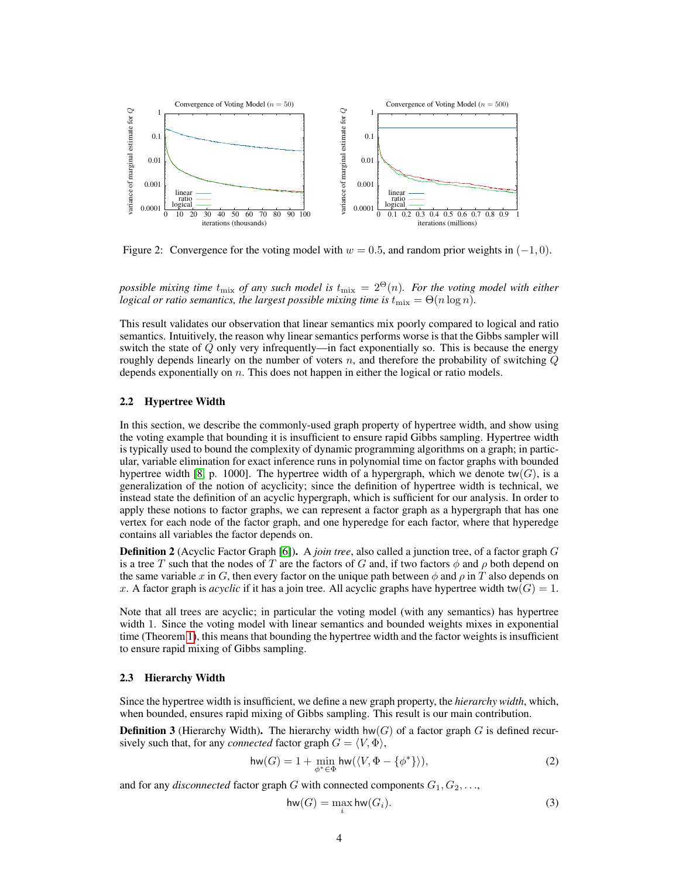

Figure 2: Convergence for the voting model with  $w = 0.5$ , and random prior weights in  $(-1, 0)$ .

*possible mixing time*  $t_{\text{mix}}$  *of any such model is*  $t_{\text{mix}} = 2^{\Theta}(n)$ *. For the voting model with either logical or ratio semantics, the largest possible mixing time is*  $t_{\text{mix}} = \Theta(n \log n)$ *.* 

This result validates our observation that linear semantics mix poorly compared to logical and ratio semantics. Intuitively, the reason why linear semantics performs worse is that the Gibbs sampler will switch the state of Q only very infrequently—in fact exponentially so. This is because the energy roughly depends linearly on the number of voters  $n$ , and therefore the probability of switching  $Q$ depends exponentially on n. This does not happen in either the logical or ratio models.

## 2.2 Hypertree Width

In this section, we describe the commonly-used graph property of hypertree width, and show using the voting example that bounding it is insufficient to ensure rapid Gibbs sampling. Hypertree width is typically used to bound the complexity of dynamic programming algorithms on a graph; in particular, variable elimination for exact inference runs in polynomial time on factor graphs with bounded hypertree width [8, p. 1000]. The hypertree width of a hypergraph, which we denote tw(G), is a generalization of the notion of acyclicity; since the definition of hypertree width is technical, we instead state the definition of an acyclic hypergraph, which is sufficient for our analysis. In order to apply these notions to factor graphs, we can represent a factor graph as a hypergraph that has one vertex for each node of the factor graph, and one hyperedge for each factor, where that hyperedge contains all variables the factor depends on.

Definition 2 (Acyclic Factor Graph [6]). A *join tree*, also called a junction tree, of a factor graph G is a tree T such that the nodes of T are the factors of G and, if two factors  $\phi$  and  $\rho$  both depend on the same variable x in G, then every factor on the unique path between  $\phi$  and  $\rho$  in T also depends on x. A factor graph is *acyclic* if it has a join tree. All acyclic graphs have hypertree width tw( $G$ ) = 1.

Note that all trees are acyclic; in particular the voting model (with any semantics) has hypertree width 1. Since the voting model with linear semantics and bounded weights mixes in exponential time (Theorem 1), this means that bounding the hypertree width and the factor weights is insufficient to ensure rapid mixing of Gibbs sampling.

#### 2.3 Hierarchy Width

Since the hypertree width is insufficient, we define a new graph property, the *hierarchy width*, which, when bounded, ensures rapid mixing of Gibbs sampling. This result is our main contribution.

**Definition 3** (Hierarchy Width). The hierarchy width hw(G) of a factor graph G is defined recursively such that, for any *connected* factor graph  $G = \langle V, \Phi \rangle$ ,

$$
\mathsf{hw}(G) = 1 + \min_{\phi^* \in \Phi} \mathsf{hw}(\langle V, \Phi - \{\phi^*\}\rangle),\tag{2}
$$

and for any *disconnected* factor graph  $G$  with connected components  $G_1, G_2, \ldots$ ,

$$
\mathsf{hw}(G) = \max_{i} \mathsf{hw}(G_i). \tag{3}
$$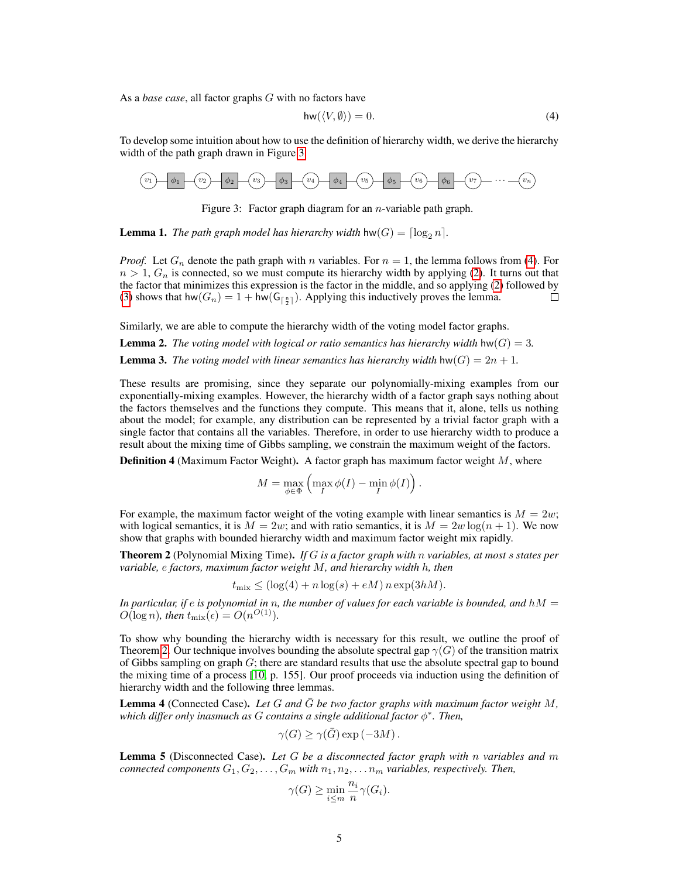As a *base case*, all factor graphs G with no factors have

$$
\mathsf{hw}(\langle V,\emptyset\rangle)=0.\tag{4}
$$

To develop some intuition about how to use the definition of hierarchy width, we derive the hierarchy width of the path graph drawn in Figure 3.



Figure 3: Factor graph diagram for an *n*-variable path graph.

**Lemma 1.** *The path graph model has hierarchy width*  $hw(G) = \lceil log_2 n \rceil$ *.* 

*Proof.* Let  $G_n$  denote the path graph with n variables. For  $n = 1$ , the lemma follows from (4). For  $n > 1$ ,  $G_n$  is connected, so we must compute its hierarchy width by applying (2). It turns out that the factor that minimizes this expression is the factor in the middle, and so applying (2) followed by (3) shows that  $hw(G_n) = 1 + hw(G_{\lceil \frac{n}{2} \rceil})$ . Applying this inductively proves the lemma.  $\Box$ 

Similarly, we are able to compute the hierarchy width of the voting model factor graphs.

**Lemma 2.** *The voting model with logical or ratio semantics has hierarchy width*  $hw(G) = 3$ .

**Lemma 3.** *The voting model with linear semantics has hierarchy width*  $hw(G) = 2n + 1$ *.* 

These results are promising, since they separate our polynomially-mixing examples from our exponentially-mixing examples. However, the hierarchy width of a factor graph says nothing about the factors themselves and the functions they compute. This means that it, alone, tells us nothing about the model; for example, any distribution can be represented by a trivial factor graph with a single factor that contains all the variables. Therefore, in order to use hierarchy width to produce a result about the mixing time of Gibbs sampling, we constrain the maximum weight of the factors.

**Definition 4** (Maximum Factor Weight). A factor graph has maximum factor weight  $M$ , where

$$
M = \max_{\phi \in \Phi} \left( \max_{I} \phi(I) - \min_{I} \phi(I) \right).
$$

For example, the maximum factor weight of the voting example with linear semantics is  $M = 2w$ ; with logical semantics, it is  $M = 2w$ ; and with ratio semantics, it is  $M = 2w \log((n + 1))$ . We now show that graphs with bounded hierarchy width and maximum factor weight mix rapidly.

Theorem 2 (Polynomial Mixing Time). *If* G *is a factor graph with* n *variables, at most* s *states per variable,* e *factors, maximum factor weight* M*, and hierarchy width* h*, then*

$$
t_{\max} \le (\log(4) + n \log(s) + eM) n \exp(3hM).
$$

*In particular, if* e *is polynomial in* n*, the number of values for each variable is bounded, and* hM =  $O(\log n)$ *, then*  $t_{\text{mix}}(\epsilon) = O(n^{O(1)})$ *.* 

To show why bounding the hierarchy width is necessary for this result, we outline the proof of Theorem 2. Our technique involves bounding the absolute spectral gap  $\gamma(G)$  of the transition matrix of Gibbs sampling on graph  $G$ ; there are standard results that use the absolute spectral gap to bound the mixing time of a process [10, p. 155]. Our proof proceeds via induction using the definition of hierarchy width and the following three lemmas.

**Lemma 4** (Connected Case). Let G and G be two factor graphs with maximum factor weight M, *which differ only inasmuch as* G *contains a single additional factor* φ ∗ *. Then,*

$$
\gamma(G) \ge \gamma(\bar{G}) \exp(-3M).
$$

Lemma 5 (Disconnected Case). *Let* G *be a disconnected factor graph with* n *variables and* m *connected components*  $G_1, G_2, \ldots, G_m$  *with*  $n_1, n_2, \ldots, n_m$  *variables, respectively. Then,* 

$$
\gamma(G) \ge \min_{i \le m} \frac{n_i}{n} \gamma(G_i).
$$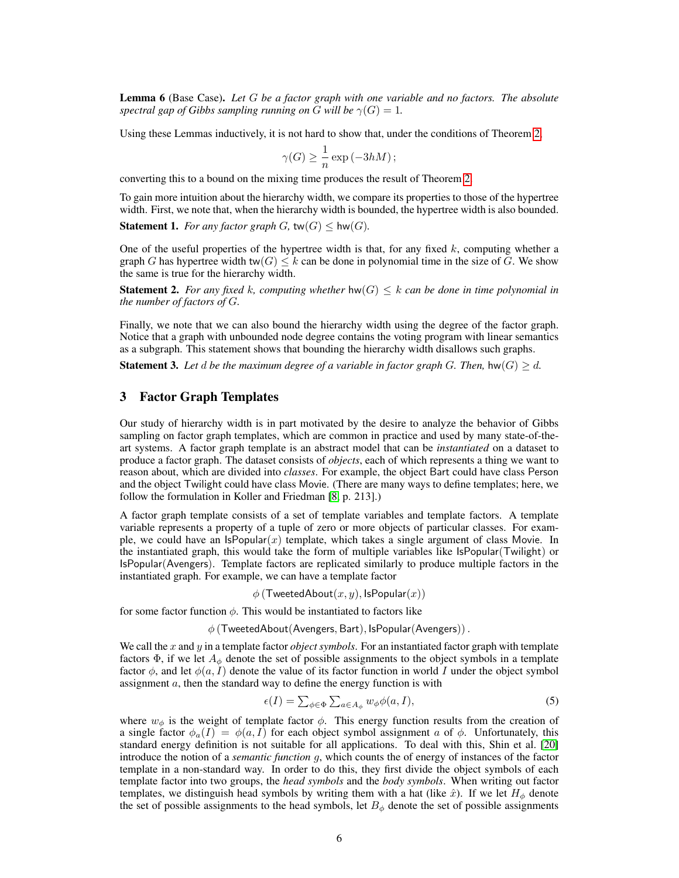Lemma 6 (Base Case). *Let* G *be a factor graph with one variable and no factors. The absolute spectral gap of Gibbs sampling running on G will be*  $\gamma(G) = 1$ *.* 

Using these Lemmas inductively, it is not hard to show that, under the conditions of Theorem 2,

$$
\gamma(G) \ge \frac{1}{n} \exp(-3hM);
$$

converting this to a bound on the mixing time produces the result of Theorem 2.

To gain more intuition about the hierarchy width, we compare its properties to those of the hypertree width. First, we note that, when the hierarchy width is bounded, the hypertree width is also bounded.

**Statement 1.** *For any factor graph*  $G$ ,  $tw(G) \leq hw(G)$ *.* 

One of the useful properties of the hypertree width is that, for any fixed  $k$ , computing whether a graph G has hypertree width tw $(G) \leq k$  can be done in polynomial time in the size of G. We show the same is true for the hierarchy width.

**Statement 2.** For any fixed k, computing whether  $\text{hw}(G) \leq k$  can be done in time polynomial in *the number of factors of* G*.*

Finally, we note that we can also bound the hierarchy width using the degree of the factor graph. Notice that a graph with unbounded node degree contains the voting program with linear semantics as a subgraph. This statement shows that bounding the hierarchy width disallows such graphs.

**Statement 3.** Let d be the maximum degree of a variable in factor graph G. Then, hw(G)  $\geq d$ .

## 3 Factor Graph Templates

Our study of hierarchy width is in part motivated by the desire to analyze the behavior of Gibbs sampling on factor graph templates, which are common in practice and used by many state-of-theart systems. A factor graph template is an abstract model that can be *instantiated* on a dataset to produce a factor graph. The dataset consists of *objects*, each of which represents a thing we want to reason about, which are divided into *classes*. For example, the object Bart could have class Person and the object Twilight could have class Movie. (There are many ways to define templates; here, we follow the formulation in Koller and Friedman [8, p. 213].)

A factor graph template consists of a set of template variables and template factors. A template variable represents a property of a tuple of zero or more objects of particular classes. For example, we could have an  $IsPopular(x)$  template, which takes a single argument of class Movie. In the instantiated graph, this would take the form of multiple variables like IsPopular(Twilight) or IsPopular(Avengers). Template factors are replicated similarly to produce multiple factors in the instantiated graph. For example, we can have a template factor

 $\phi$  (TweetedAbout $(x, y)$ , IsPopular $(x)$ )

for some factor function  $\phi$ . This would be instantiated to factors like

 $\phi$  (TweetedAbout(Avengers, Bart), IsPopular(Avengers)).

We call the x and y in a template factor *object symbols*. For an instantiated factor graph with template factors  $\Phi$ , if we let  $A_{\phi}$  denote the set of possible assignments to the object symbols in a template factor  $\phi$ , and let  $\phi(a, I)$  denote the value of its factor function in world I under the object symbol assignment  $a$ , then the standard way to define the energy function is with

$$
\epsilon(I) = \sum_{\phi \in \Phi} \sum_{a \in A_{\phi}} w_{\phi} \phi(a, I), \tag{5}
$$

where  $w_{\phi}$  is the weight of template factor  $\phi$ . This energy function results from the creation of a single factor  $\phi_a(I) = \phi(a, I)$  for each object symbol assignment a of  $\phi$ . Unfortunately, this standard energy definition is not suitable for all applications. To deal with this, Shin et al. [20] introduce the notion of a *semantic function* g, which counts the of energy of instances of the factor template in a non-standard way. In order to do this, they first divide the object symbols of each template factor into two groups, the *head symbols* and the *body symbols*. When writing out factor templates, we distinguish head symbols by writing them with a hat (like  $\hat{x}$ ). If we let  $H_{\phi}$  denote the set of possible assignments to the head symbols, let  $B_{\phi}$  denote the set of possible assignments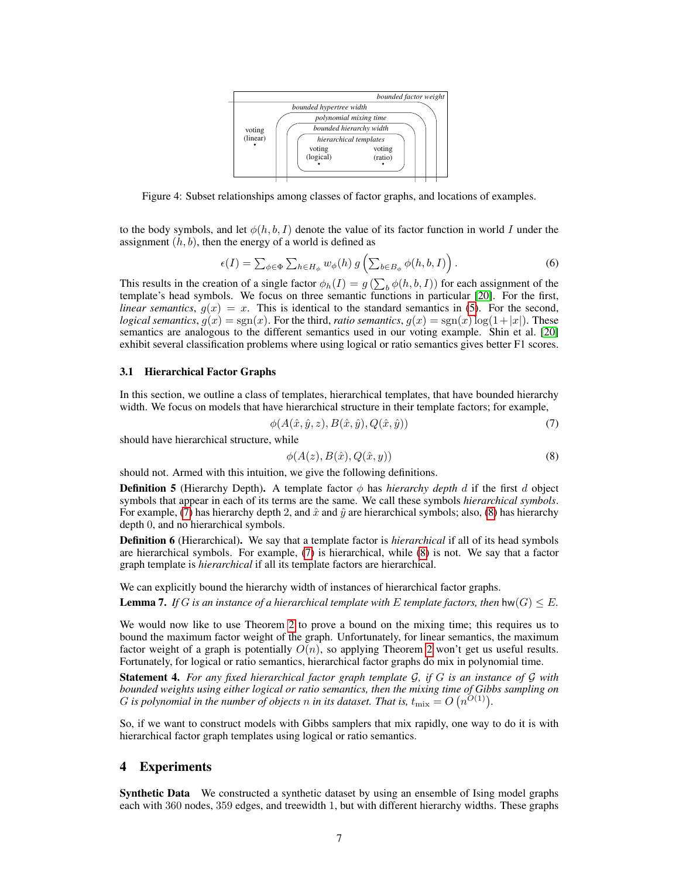

Figure 4: Subset relationships among classes of factor graphs, and locations of examples.

to the body symbols, and let  $\phi(h, b, I)$  denote the value of its factor function in world I under the assignment  $(h, b)$ , then the energy of a world is defined as

$$
\epsilon(I) = \sum_{\phi \in \Phi} \sum_{h \in H_{\phi}} w_{\phi}(h) g\left(\sum_{b \in B_{\phi}} \phi(h, b, I)\right).
$$
 (6)

This results in the creation of a single factor  $\phi_h(I) = g(\sum_b \phi(h, b, I))$  for each assignment of the template's head symbols. We focus on three semantic functions in particular [20]. For the first, *linear semantics*,  $g(x) = x$ . This is identical to the standard semantics in (5). For the second, *logical semantics*,  $g(x) = sgn(x)$ . For the third, *ratio semantics*,  $g(x) = sgn(x) \log(1+|x|)$ . These semantics are analogous to the different semantics used in our voting example. Shin et al. [20] exhibit several classification problems where using logical or ratio semantics gives better F1 scores.

### 3.1 Hierarchical Factor Graphs

In this section, we outline a class of templates, hierarchical templates, that have bounded hierarchy width. We focus on models that have hierarchical structure in their template factors; for example,

$$
\phi(A(\hat{x}, \hat{y}, z), B(\hat{x}, \hat{y}), Q(\hat{x}, \hat{y})) \tag{7}
$$

should have hierarchical structure, while

$$
\phi(A(z), B(\hat{x}), Q(\hat{x}, y))
$$
\n(8)

should not. Armed with this intuition, we give the following definitions.

**Definition 5** (Hierarchy Depth). A template factor  $\phi$  has *hierarchy depth d* if the first d object symbols that appear in each of its terms are the same. We call these symbols *hierarchical symbols*. For example, (7) has hierarchy depth 2, and  $\hat{x}$  and  $\hat{y}$  are hierarchical symbols; also, (8) has hierarchy depth 0, and no hierarchical symbols.

Definition 6 (Hierarchical). We say that a template factor is *hierarchical* if all of its head symbols are hierarchical symbols. For example, (7) is hierarchical, while (8) is not. We say that a factor graph template is *hierarchical* if all its template factors are hierarchical.

We can explicitly bound the hierarchy width of instances of hierarchical factor graphs.

**Lemma 7.** *If* G is an instance of a hierarchical template with E *template factors, then*  $\text{hw}(G) \leq E$ *.* 

We would now like to use Theorem 2 to prove a bound on the mixing time; this requires us to bound the maximum factor weight of the graph. Unfortunately, for linear semantics, the maximum factor weight of a graph is potentially  $O(n)$ , so applying Theorem 2 won't get us useful results. Fortunately, for logical or ratio semantics, hierarchical factor graphs do mix in polynomial time.

Statement 4. *For any fixed hierarchical factor graph template* G*, if* G *is an instance of* G *with bounded weights using either logical or ratio semantics, then the mixing time of Gibbs sampling on* G is polynomial in the number of objects n in its dataset. That is,  $t_{\text{mix}} = O(n^{\tilde{O}(1)})$ .

So, if we want to construct models with Gibbs samplers that mix rapidly, one way to do it is with hierarchical factor graph templates using logical or ratio semantics.

## 4 Experiments

Synthetic Data We constructed a synthetic dataset by using an ensemble of Ising model graphs each with 360 nodes, 359 edges, and treewidth 1, but with different hierarchy widths. These graphs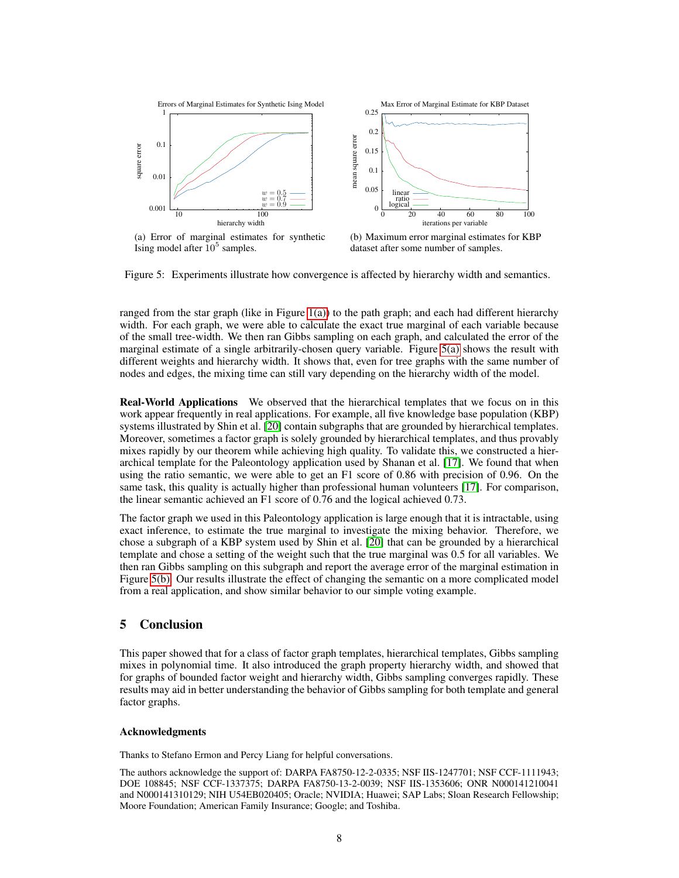

(a) Error of marginal estimates for synthetic Ising model after  $10^5$  samples.

(b) Maximum error marginal estimates for KBP dataset after some number of samples.

Figure 5: Experiments illustrate how convergence is affected by hierarchy width and semantics.

ranged from the star graph (like in Figure 1(a)) to the path graph; and each had different hierarchy width. For each graph, we were able to calculate the exact true marginal of each variable because of the small tree-width. We then ran Gibbs sampling on each graph, and calculated the error of the marginal estimate of a single arbitrarily-chosen query variable. Figure 5(a) shows the result with different weights and hierarchy width. It shows that, even for tree graphs with the same number of nodes and edges, the mixing time can still vary depending on the hierarchy width of the model.

Real-World Applications We observed that the hierarchical templates that we focus on in this work appear frequently in real applications. For example, all five knowledge base population (KBP) systems illustrated by Shin et al. [20] contain subgraphs that are grounded by hierarchical templates. Moreover, sometimes a factor graph is solely grounded by hierarchical templates, and thus provably mixes rapidly by our theorem while achieving high quality. To validate this, we constructed a hierarchical template for the Paleontology application used by Shanan et al. [17]. We found that when using the ratio semantic, we were able to get an F1 score of 0.86 with precision of 0.96. On the same task, this quality is actually higher than professional human volunteers [17]. For comparison, the linear semantic achieved an F1 score of 0.76 and the logical achieved 0.73.

The factor graph we used in this Paleontology application is large enough that it is intractable, using exact inference, to estimate the true marginal to investigate the mixing behavior. Therefore, we chose a subgraph of a KBP system used by Shin et al. [20] that can be grounded by a hierarchical template and chose a setting of the weight such that the true marginal was 0.5 for all variables. We then ran Gibbs sampling on this subgraph and report the average error of the marginal estimation in Figure 5(b). Our results illustrate the effect of changing the semantic on a more complicated model from a real application, and show similar behavior to our simple voting example.

## 5 Conclusion

This paper showed that for a class of factor graph templates, hierarchical templates, Gibbs sampling mixes in polynomial time. It also introduced the graph property hierarchy width, and showed that for graphs of bounded factor weight and hierarchy width, Gibbs sampling converges rapidly. These results may aid in better understanding the behavior of Gibbs sampling for both template and general factor graphs.

#### Acknowledgments

Thanks to Stefano Ermon and Percy Liang for helpful conversations.

The authors acknowledge the support of: DARPA FA8750-12-2-0335; NSF IIS-1247701; NSF CCF-1111943; DOE 108845; NSF CCF-1337375; DARPA FA8750-13-2-0039; NSF IIS-1353606; ONR N000141210041 and N000141310129; NIH U54EB020405; Oracle; NVIDIA; Huawei; SAP Labs; Sloan Research Fellowship; Moore Foundation; American Family Insurance; Google; and Toshiba.